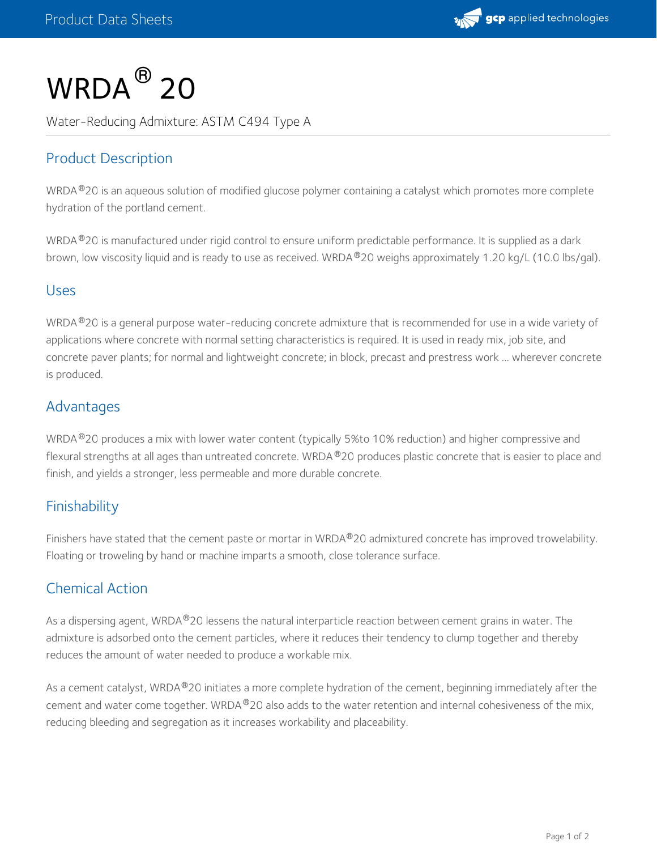

# $\mathsf{WRDA}^{\circledR}$  20

Water-Reducing Admixture: ASTM C494 Type A

## Product Description

WRDA  $^{\circledR}$ 20 is an aqueous solution of modified glucose polymer containing a catalyst which promotes more complete hydration of the portland cement.

WRDA ®20 is manufactured under rigid control to ensure uniform predictable performance. It is supplied as a dark brown, low viscosity liquid and is ready to use as received. WRDA  $^{\circledR}$ 20 weighs approximately 1.20 kg/L (10.0 lbs/gal).

#### Uses

WRDA ®20 is a general purpose water-reducing concrete admixture that is recommended for use in a wide variety of applications where concrete with normal setting characteristics is required. It is used in ready mix, job site, and concrete paver plants; for normal and lightweight concrete; in block, precast and prestress work ... wherever concrete is produced.

### Advantages

WRDA ®20 produces a mix with lower water content (typically 5%to 10% reduction) and higher compressive and flexural strengths at all ages than untreated concrete. WRDA ®20 produces plastic concrete that is easier to place and finish, and yields a stronger, less permeable and more durable concrete.

## Finishability

Finishers have stated that the cement paste or mortar in WRDA®20 admixtured concrete has improved trowelability. Floating or troweling by hand or machine imparts a smooth, close tolerance surface.

### Chemical Action

As a dispersing agent, WRDA®20 lessens the natural interparticle reaction between cement grains in water. The admixture is adsorbed onto the cement particles, where it reduces their tendency to clump together and thereby reduces the amount of water needed to produce a workable mix.

As a cement catalyst, WRDA $^{\circledR}$ 20 initiates a more complete hydration of the cement, beginning immediately after the cement and water come together. WRDA®20 also adds to the water retention and internal cohesiveness of the mix, reducing bleeding and segregation as it increases workability and placeability.